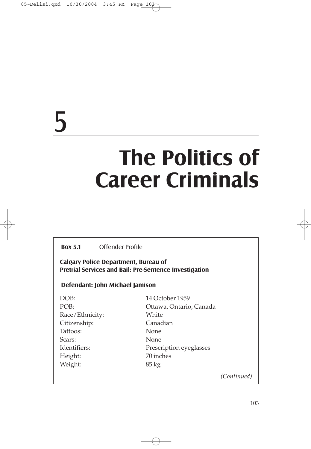# 5

# **The Politics of Career Criminals**

**Box 5.1** Offender Profile

**Calgary Police Department, Bureau of Pretrial Services and Bail: Pre-Sentence Investigation**

# **Defendant: John Michael Jamison**

DOB: 14 October 1959 POB: Ottawa, Ontario, Canada Race/Ethnicity: White Citizenship: Canadian Tattoos: None Scars: None Identifiers: Prescription eyeglasses Height: 70 inches Weight: 85 kg

*(Continued)*

103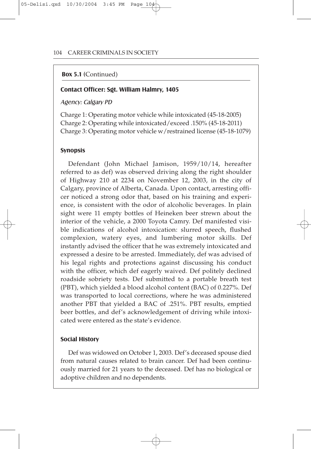**Box 5.1** (Continued)

## **Contact Officer: Sgt. William Halmry, 1405**

Agency: Calgary PD

Charge 1: Operating motor vehicle while intoxicated (45-18-2005) Charge 2: Operating while intoxicated/exceed .150% (45-18-2011) Charge 3: Operating motor vehicle w/restrained license (45-18-1079)

#### **Synopsis**

Defendant (John Michael Jamison, 1959/10/14, hereafter referred to as def) was observed driving along the right shoulder of Highway 210 at 2234 on November 12, 2003, in the city of Calgary, province of Alberta, Canada. Upon contact, arresting officer noticed a strong odor that, based on his training and experience, is consistent with the odor of alcoholic beverages. In plain sight were 11 empty bottles of Heineken beer strewn about the interior of the vehicle, a 2000 Toyota Camry. Def manifested visible indications of alcohol intoxication: slurred speech, flushed complexion, watery eyes, and lumbering motor skills. Def instantly advised the officer that he was extremely intoxicated and expressed a desire to be arrested. Immediately, def was advised of his legal rights and protections against discussing his conduct with the officer, which def eagerly waived. Def politely declined roadside sobriety tests. Def submitted to a portable breath test (PBT), which yielded a blood alcohol content (BAC) of 0.227%. Def was transported to local corrections, where he was administered another PBT that yielded a BAC of .251%. PBT results, emptied beer bottles, and def's acknowledgement of driving while intoxicated were entered as the state's evidence.

#### **Social History**

Def was widowed on October 1, 2003. Def's deceased spouse died from natural causes related to brain cancer. Def had been continuously married for 21 years to the deceased. Def has no biological or adoptive children and no dependents.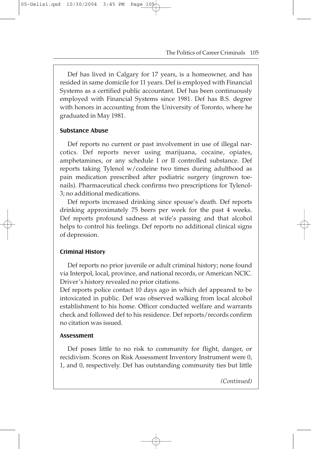Def has lived in Calgary for 17 years, is a homeowner, and has resided in same domicile for 11 years. Def is employed with Financial Systems as a certified public accountant. Def has been continuously employed with Financial Systems since 1981. Def has B.S. degree with honors in accounting from the University of Toronto, where he graduated in May 1981.

#### **Substance Abuse**

Def reports no current or past involvement in use of illegal narcotics. Def reports never using marijuana, cocaine, opiates, amphetamines, or any schedule I or II controlled substance. Def reports taking Tylenol w/codeine two times during adulthood as pain medication prescribed after podiatric surgery (ingrown toenails). Pharmaceutical check confirms two prescriptions for Tylenol-3; no additional medications.

Def reports increased drinking since spouse's death. Def reports drinking approximately 75 beers per week for the past 4 weeks. Def reports profound sadness at wife's passing and that alcohol helps to control his feelings. Def reports no additional clinical signs of depression.

## **Criminal History**

Def reports no prior juvenile or adult criminal history; none found via Interpol, local, province, and national records, or American NCIC. Driver's history revealed no prior citations.

Def reports police contact 10 days ago in which def appeared to be intoxicated in public. Def was observed walking from local alcohol establishment to his home. Officer conducted welfare and warrants check and followed def to his residence. Def reports/records confirm no citation was issued.

#### **Assessment**

Def poses little to no risk to community for flight, danger, or recidivism. Scores on Risk Assessment Inventory Instrument were 0, 1, and 0, respectively. Def has outstanding community ties but little

*(Continued)*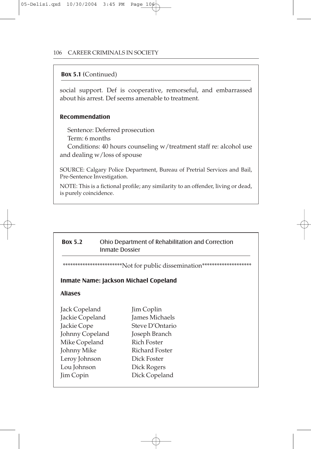## **Box 5.1** (Continued)

social support. Def is cooperative, remorseful, and embarrassed about his arrest. Def seems amenable to treatment.

# **Recommendation**

Sentence: Deferred prosecution Term: 6 months

Conditions: 40 hours counseling w/treatment staff re: alcohol use and dealing w/loss of spouse

SOURCE: Calgary Police Department, Bureau of Pretrial Services and Bail, Pre-Sentence Investigation.

NOTE: This is a fictional profile; any similarity to an offender, living or dead, is purely coincidence.

| <b>Box 5.2</b><br>Ohio Department of Rehabilitation and Correction<br><b>Inmate Dossier</b> |                       |  |
|---------------------------------------------------------------------------------------------|-----------------------|--|
| ************************Not for public dissemination********************                    |                       |  |
| Inmate Name: Jackson Michael Copeland                                                       |                       |  |
| <b>Aliases</b>                                                                              |                       |  |
| Jack Copeland                                                                               | Jim Coplin            |  |
| Jackie Copeland                                                                             | James Michaels        |  |
| Jackie Cope                                                                                 | Steve D'Ontario       |  |
| Johnny Copeland                                                                             | Joseph Branch         |  |
| Mike Copeland                                                                               | Rich Foster           |  |
| Johnny Mike                                                                                 | <b>Richard Foster</b> |  |
| Leroy Johnson                                                                               | Dick Foster           |  |
| Lou Johnson                                                                                 | Dick Rogers           |  |
| Jim Copin                                                                                   | Dick Copeland         |  |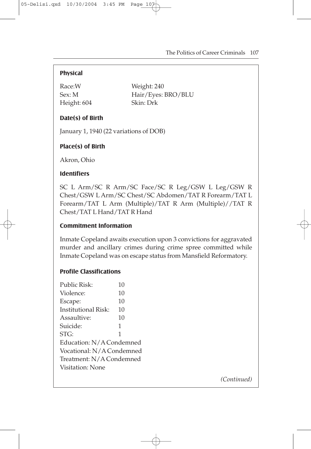# **Physical**

Race:W Weight: 240 Height: 604 Skin: Drk

Sex: M Hair/Eyes: BRO/BLU

# **Date(s) of Birth**

January 1, 1940 (22 variations of DOB)

# **Place(s) of Birth**

Akron, Ohio

# **Identifiers**

SC L Arm/SC R Arm/SC Face/SC R Leg/GSW L Leg/GSW R Chest/GSW L Arm/SC Chest/SC Abdomen/TAT R Forearm/TAT L Forearm/TAT L Arm (Multiple)/TAT R Arm (Multiple)//TAT R Chest/TAT L Hand/TAT R Hand

# **Commitment Information**

Inmate Copeland awaits execution upon 3 convictions for aggravated murder and ancillary crimes during crime spree committed while Inmate Copeland was on escape status from Mansfield Reformatory.

# **Profile Classifications**

| Public Risk:              | 10 |  |
|---------------------------|----|--|
| Violence:                 | 10 |  |
| Escape:                   | 10 |  |
| Institutional Risk:       | 10 |  |
| Assaultive:               | 10 |  |
| Suicide:                  | 1  |  |
| STG:                      | 1  |  |
| Education: N/A Condemned  |    |  |
| Vocational: N/A Condemned |    |  |
| Treatment: N/A Condemned  |    |  |
| Visitation: None          |    |  |
|                           |    |  |

*(Continued)*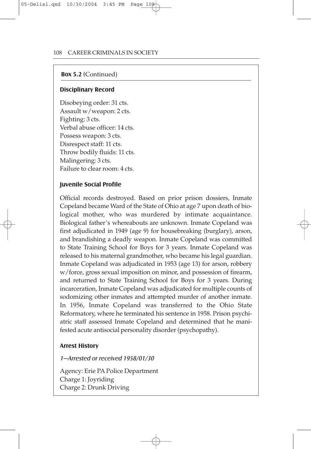#### **Box 5.2** (Continued)

## **Disciplinary Record**

Disobeying order: 31 cts. Assault w/weapon: 2 cts. Fighting: 3 cts. Verbal abuse officer: 14 cts. Possess weapon: 3 cts. Disrespect staff: 11 cts. Throw bodily fluids: 11 cts. Malingering: 3 cts. Failure to clear room: 4 cts.

## **Juvenile Social Profile**

Official records destroyed. Based on prior prison dossiers, Inmate Copeland became Ward of the State of Ohio at age 7 upon death of biological mother, who was murdered by intimate acquaintance. Biological father's whereabouts are unknown. Inmate Copeland was first adjudicated in 1949 (age 9) for housebreaking (burglary), arson, and brandishing a deadly weapon. Inmate Copeland was committed to State Training School for Boys for 3 years. Inmate Copeland was released to his maternal grandmother, who became his legal guardian. Inmate Copeland was adjudicated in 1953 (age 13) for arson, robbery w/force, gross sexual imposition on minor, and possession of firearm, and returned to State Training School for Boys for 3 years. During incarceration, Inmate Copeland was adjudicated for multiple counts of sodomizing other inmates and attempted murder of another inmate. In 1956, Inmate Copeland was transferred to the Ohio State Reformatory, where he terminated his sentence in 1958. Prison psychiatric staff assessed Inmate Copeland and determined that he manifested acute antisocial personality disorder (psychopathy).

### **Arrest History**

## 1—Arrested or received 1958/01/30

Agency: Erie PA Police Department Charge 1: Joyriding Charge 2: Drunk Driving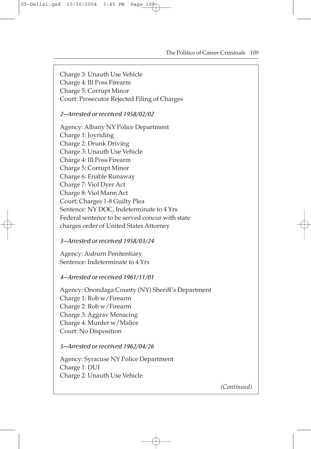Charge 3: Unauth Use Vehicle Charge 4: Ill Poss Firearm Charge 5: Corrupt Minor Court: Prosecutor Rejected Filing of Charges

#### 2—Arrested or received 1958/02/02

Agency: Albany NY Police Department Charge 1: Joyriding Charge 2: Drunk Driving Charge 3: Unauth Use Vehicle Charge 4: Ill Poss Firearm Charge 5: Corrupt Minor Charge 6: Enable Runaway Charge 7: Viol Dyer Act Charge 8: Viol Mann Act Court: Charges 1-8 Guilty Plea Sentence: NY DOC, Indeterminate to 4 Yrs Federal sentence to be served concur with state charges order of United States Attorney

### 3—Arrested or received 1958/03/24

Agency: Auburn Penitentiary Sentence: Indeterminate to 4 Yrs

#### 4—Arrested or received 1961/11/01

Agency: Onondaga County (NY) Sheriff's Department Charge 1: Rob w/Firearm Charge 2: Rob w/Firearm Charge 3: Aggrav Menacing Charge 4: Murder w/Malice Court: No Disposition

## 5—Arrested or received 1962/04/26

Agency: Syracuse NY Police Department Charge 1: DUI Charge 2: Unauth Use Vehicle

*(Continued)*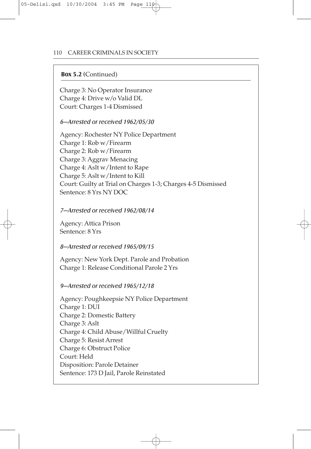## **Box 5.2** (Continued)

Charge 3: No Operator Insurance Charge 4: Drive w/o Valid DL Court: Charges 1-4 Dismissed

6—Arrested or received 1962/05/30

Agency: Rochester NY Police Department Charge 1: Rob w/Firearm Charge 2: Rob w/Firearm Charge 3: Aggrav Menacing Charge 4: Aslt w/Intent to Rape Charge 5: Aslt w/Intent to Kill Court: Guilty at Trial on Charges 1-3; Charges 4-5 Dismissed Sentence: 8 Yrs NY DOC

7—Arrested or received 1962/08/14

Agency: Attica Prison Sentence: 8 Yrs

8—Arrested or received 1965/09/15

Agency: New York Dept. Parole and Probation Charge 1: Release Conditional Parole 2 Yrs

#### 9—Arrested or received 1965/12/18

Agency: Poughkeepsie NY Police Department Charge 1: DUI Charge 2: Domestic Battery Charge 3: Aslt Charge 4: Child Abuse/Willful Cruelty Charge 5: Resist Arrest Charge 6: Obstruct Police Court: Held Disposition: Parole Detainer Sentence: 173 D Jail, Parole Reinstated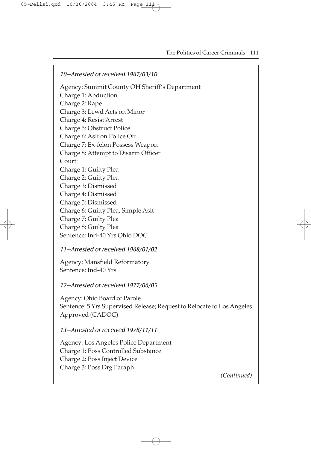10—Arrested or received 1967/03/10

Agency: Summit County OH Sheriff's Department Charge 1: Abduction Charge 2: Rape Charge 3: Lewd Acts on Minor Charge 4: Resist Arrest Charge 5: Obstruct Police Charge 6: Aslt on Police Off Charge 7: Ex-felon Possess Weapon Charge 8: Attempt to Disarm Officer Court: Charge 1: Guilty Plea Charge 2: Guilty Plea Charge 3: Dismissed Charge 4: Dismissed Charge 5: Dismissed Charge 6: Guilty Plea, Simple Aslt Charge 7: Guilty Plea Charge 8: Guilty Plea Sentence: Ind-40 Yrs Ohio DOC

### 11—Arrested or received 1968/01/02

Agency: Mansfield Reformatory Sentence: Ind-40 Yrs

## 12—Arrested or received 1977/06/05

Agency: Ohio Board of Parole Sentence: 5 Yrs Supervised Release; Request to Relocate to Los Angeles Approved (CADOC)

13—Arrested or received 1978/11/11

Agency: Los Angeles Police Department Charge 1: Poss Controlled Substance Charge 2: Poss Inject Device Charge 3: Poss Drg Paraph

*(Continued)*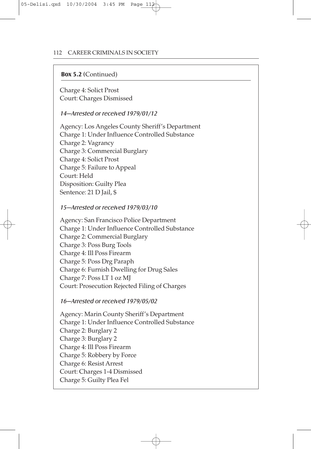## **Box 5.2** (Continued)

Charge 4: Solict Prost Court: Charges Dismissed

14—Arrested or received 1979/01/12

Agency: Los Angeles County Sheriff's Department Charge 1: Under Influence Controlled Substance Charge 2: Vagrancy Charge 3: Commercial Burglary Charge 4: Solict Prost Charge 5: Failure to Appeal Court: Held Disposition: Guilty Plea Sentence: 21 D Jail, \$

# 15—Arrested or received 1979/03/10

Agency: San Francisco Police Department Charge 1: Under Influence Controlled Substance Charge 2: Commercial Burglary Charge 3: Poss Burg Tools Charge 4: Ill Poss Firearm Charge 5: Poss Drg Paraph Charge 6: Furnish Dwelling for Drug Sales Charge 7: Poss LT 1 oz MJ Court: Prosecution Rejected Filing of Charges

16—Arrested or received 1979/05/02

Agency: Marin County Sheriff's Department Charge 1: Under Influence Controlled Substance Charge 2: Burglary 2 Charge 3: Burglary 2 Charge 4: Ill Poss Firearm Charge 5: Robbery by Force Charge 6: Resist Arrest Court: Charges 1-4 Dismissed Charge 5: Guilty Plea Fel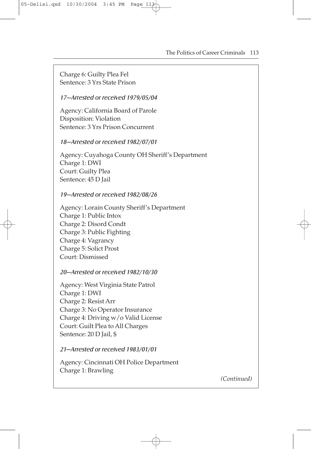Charge 6: Guilty Plea Fel Sentence: 3 Yrs State Prison

# 17—Arrested or received 1979/05/04

Agency: California Board of Parole Disposition: Violation Sentence: 3 Yrs Prison Concurrent

18—Arrested or received 1982/07/01

Agency: Cuyahoga County OH Sheriff's Department Charge 1: DWI Court: Guilty Plea Sentence: 45 D Jail

## 19—Arrested or received 1982/08/26

Agency: Lorain County Sheriff's Department Charge 1: Public Intox Charge 2: Disord Condt Charge 3: Public Fighting Charge 4: Vagrancy Charge 5: Solict Prost Court: Dismissed

# 20—Arrested or received 1982/10/30

Agency: West Virginia State Patrol Charge 1: DWI Charge 2: Resist Arr Charge 3: No Operator Insurance Charge 4: Driving w/o Valid License Court: Guilt Plea to All Charges Sentence: 20 D Jail, \$

# 21—Arrested or received 1983/01/01

Agency: Cincinnati OH Police Department Charge 1: Brawling

*(Continued)*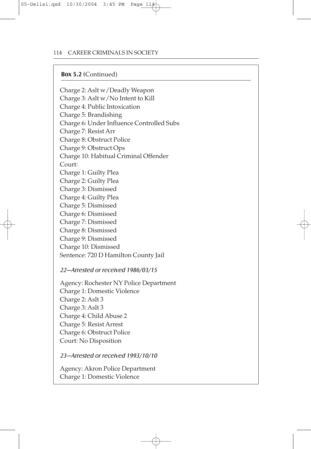**Box 5.2** (Continued)

Charge 2: Aslt w/Deadly Weapon Charge 3: Aslt w/No Intent to Kill Charge 4: Public Intoxication Charge 5: Brandishing Charge 6: Under Influence Controlled Subs Charge 7: Resist Arr Charge 8: Obstruct Police Charge 9: Obstruct Ops Charge 10: Habitual Criminal Offender Court: Charge 1: Guilty Plea Charge 2: Guilty Plea Charge 3: Dismissed Charge 4: Guilty Plea Charge 5: Dismissed Charge 6: Dismissed Charge 7: Dismissed Charge 8: Dismissed Charge 9: Dismissed Charge 10: Dismissed Sentence: 720 D Hamilton County Jail

### 22—Arrested or received 1986/03/15

Agency: Rochester NY Police Department Charge 1: Domestic Violence Charge 2: Aslt 3 Charge 3: Aslt 3 Charge 4: Child Abuse 2 Charge 5: Resist Arrest Charge 6: Obstruct Police Court: No Disposition

23—Arrested or received 1993/10/10

Agency: Akron Police Department Charge 1: Domestic Violence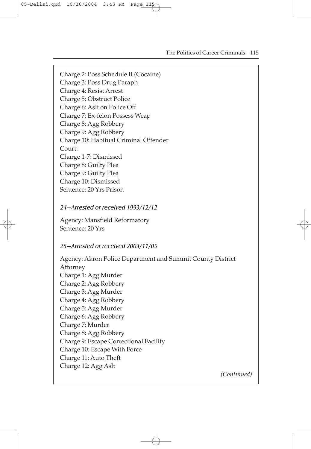# 05-Delisi.qxd 10/30/2004 3:45 PM Page 115

The Politics of Career Criminals 115

Charge 2: Poss Schedule II (Cocaine) Charge 3: Poss Drug Paraph Charge 4: Resist Arrest Charge 5: Obstruct Police Charge 6: Aslt on Police Off Charge 7: Ex-felon Possess Weap Charge 8: Agg Robbery Charge 9: Agg Robbery Charge 10: Habitual Criminal Offender Court: Charge 1-7: Dismissed Charge 8: Guilty Plea Charge 9: Guilty Plea Charge 10: Dismissed Sentence: 20 Yrs Prison

24—Arrested or received 1993/12/12

Agency: Mansfield Reformatory Sentence: 20 Yrs

25—Arrested or received 2003/11/05

Agency: Akron Police Department and Summit County District Attorney Charge 1: Agg Murder Charge 2: Agg Robbery Charge 3: Agg Murder Charge 4: Agg Robbery Charge 5: Agg Murder Charge 6: Agg Robbery Charge 7: Murder Charge 8: Agg Robbery Charge 9: Escape Correctional Facility Charge 10: Escape With Force Charge 11: Auto Theft Charge 12: Agg Aslt

*(Continued)*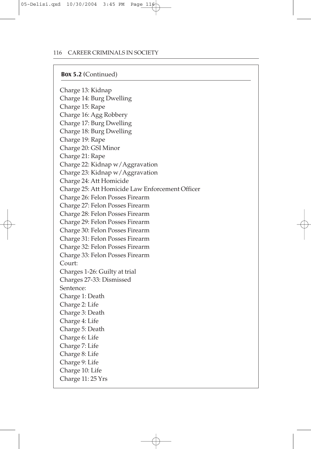**Box 5.2** (Continued)

Charge 13: Kidnap Charge 14: Burg Dwelling Charge 15: Rape Charge 16: Agg Robbery Charge 17: Burg Dwelling Charge 18: Burg Dwelling Charge 19: Rape Charge 20: GSI Minor Charge 21: Rape Charge 22: Kidnap w/Aggravation Charge 23: Kidnap w/Aggravation Charge 24: Att Homicide Charge 25: Att Homicide Law Enforcement Officer Charge 26: Felon Posses Firearm Charge 27: Felon Posses Firearm Charge 28: Felon Posses Firearm Charge 29: Felon Posses Firearm Charge 30: Felon Posses Firearm Charge 31: Felon Posses Firearm Charge 32: Felon Posses Firearm Charge 33: Felon Posses Firearm Court: Charges 1-26: Guilty at trial Charges 27-33: Dismissed Sentence: Charge 1: Death Charge 2: Life Charge 3: Death Charge 4: Life Charge 5: Death Charge 6: Life Charge 7: Life Charge 8: Life Charge 9: Life Charge 10: Life Charge 11: 25 Yrs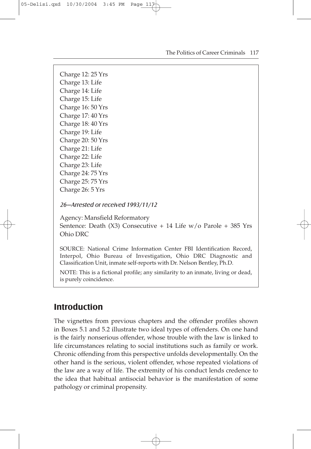05-Delisi.qxd 10/30/2004 3:45 PM Page

The Politics of Career Criminals 117

Charge 12: 25 Yrs Charge 13: Life Charge 14: Life Charge 15: Life Charge 16: 50 Yrs Charge 17: 40 Yrs Charge 18: 40 Yrs Charge 19: Life Charge 20: 50 Yrs Charge 21: Life Charge 22: Life Charge 23: Life Charge 24: 75 Yrs Charge 25: 75 Yrs Charge 26: 5 Yrs

26—Arrested or received 1993/11/12

Agency: Mansfield Reformatory Sentence: Death  $(X3)$  Consecutive + 14 Life w/o Parole + 385 Yrs Ohio DRC

SOURCE: National Crime Information Center FBI Identification Record, Interpol, Ohio Bureau of Investigation, Ohio DRC Diagnostic and Classification Unit, inmate self-reports with Dr. Nelson Bentley, Ph.D.

NOTE: This is a fictional profile; any similarity to an inmate, living or dead, is purely coincidence.

# **Introduction**

The vignettes from previous chapters and the offender profiles shown in Boxes 5.1 and 5.2 illustrate two ideal types of offenders. On one hand is the fairly nonserious offender, whose trouble with the law is linked to life circumstances relating to social institutions such as family or work. Chronic offending from this perspective unfolds developmentally. On the other hand is the serious, violent offender, whose repeated violations of the law are a way of life. The extremity of his conduct lends credence to the idea that habitual antisocial behavior is the manifestation of some pathology or criminal propensity.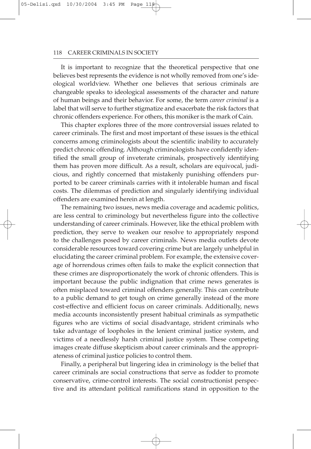It is important to recognize that the theoretical perspective that one believes best represents the evidence is not wholly removed from one's ideological worldview. Whether one believes that serious criminals are changeable speaks to ideological assessments of the character and nature of human beings and their behavior. For some, the term *career criminal* is a label that will serve to further stigmatize and exacerbate the risk factors that chronic offenders experience. For others, this moniker is the mark of Cain.

This chapter explores three of the more controversial issues related to career criminals. The first and most important of these issues is the ethical concerns among criminologists about the scientific inability to accurately predict chronic offending. Although criminologists have confidently identified the small group of inveterate criminals, prospectively identifying them has proven more difficult. As a result, scholars are equivocal, judicious, and rightly concerned that mistakenly punishing offenders purported to be career criminals carries with it intolerable human and fiscal costs. The dilemmas of prediction and singularly identifying individual offenders are examined herein at length.

The remaining two issues, news media coverage and academic politics, are less central to criminology but nevertheless figure into the collective understanding of career criminals. However, like the ethical problem with prediction, they serve to weaken our resolve to appropriately respond to the challenges posed by career criminals. News media outlets devote considerable resources toward covering crime but are largely unhelpful in elucidating the career criminal problem. For example, the extensive coverage of horrendous crimes often fails to make the explicit connection that these crimes are disproportionately the work of chronic offenders. This is important because the public indignation that crime news generates is often misplaced toward criminal offenders generally. This can contribute to a public demand to get tough on crime generally instead of the more cost-effective and efficient focus on career criminals. Additionally, news media accounts inconsistently present habitual criminals as sympathetic figures who are victims of social disadvantage, strident criminals who take advantage of loopholes in the lenient criminal justice system, and victims of a needlessly harsh criminal justice system. These competing images create diffuse skepticism about career criminals and the appropriateness of criminal justice policies to control them.

Finally, a peripheral but lingering idea in criminology is the belief that career criminals are social constructions that serve as fodder to promote conservative, crime-control interests. The social constructionist perspective and its attendant political ramifications stand in opposition to the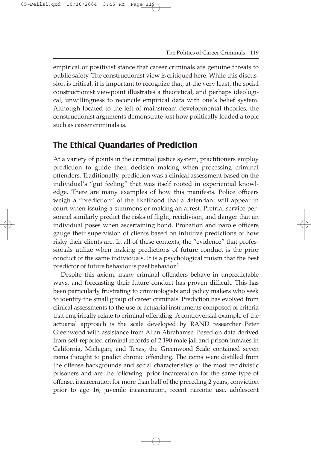empirical or positivist stance that career criminals are genuine threats to public safety. The constructionist view is critiqued here. While this discussion is critical, it is important to recognize that, at the very least, the social constructionist viewpoint illustrates a theoretical, and perhaps ideological, unwillingness to reconcile empirical data with one's belief system. Although located to the left of mainstream developmental theories, the constructionist arguments demonstrate just how politically loaded a topic such as career criminals is.

# **The Ethical Quandaries of Prediction**

At a variety of points in the criminal justice system, practitioners employ prediction to guide their decision making when processing criminal offenders. Traditionally, prediction was a clinical assessment based on the individual's "gut feeling" that was itself rooted in experiential knowledge. There are many examples of how this manifests. Police officers weigh a "prediction" of the likelihood that a defendant will appear in court when issuing a summons or making an arrest. Pretrial service personnel similarly predict the risks of flight, recidivism, and danger that an individual poses when ascertaining bond. Probation and parole officers gauge their supervision of clients based on intuitive predictions of how risky their clients are. In all of these contexts, the "evidence" that professionals utilize when making predictions of future conduct is the prior conduct of the same individuals. It is a psychological truism that the best predictor of future behavior is past behavior.<sup>1</sup>

Despite this axiom, many criminal offenders behave in unpredictable ways, and forecasting their future conduct has proven difficult. This has been particularly frustrating to criminologists and policy makers who seek to identify the small group of career criminals. Prediction has evolved from clinical assessments to the use of actuarial instruments composed of criteria that empirically relate to criminal offending. A controversial example of the actuarial approach is the scale developed by RAND researcher Peter Greenwood with assistance from Allan Abrahamse. Based on data derived from self-reported criminal records of 2,190 male jail and prison inmates in California, Michigan, and Texas, the Greenwood Scale contained seven items thought to predict chronic offending. The items were distilled from the offense backgrounds and social characteristics of the most recidivistic prisoners and are the following: prior incarceration for the same type of offense, incarceration for more than half of the preceding 2 years, conviction prior to age 16, juvenile incarceration, recent narcotic use, adolescent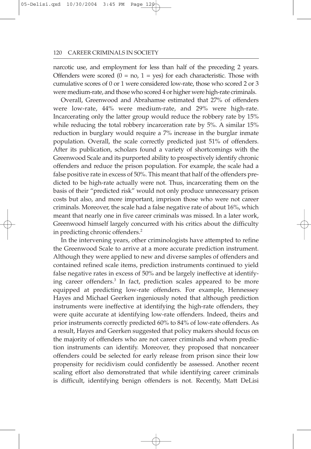narcotic use, and employment for less than half of the preceding 2 years. Offenders were scored  $(0 = no, 1 = yes)$  for each characteristic. Those with cumulative scores of 0 or 1 were considered low-rate, those who scored 2 or 3 were medium-rate, and those who scored 4 or higher were high-rate criminals.

Overall, Greenwood and Abrahamse estimated that 27% of offenders were low-rate, 44% were medium-rate, and 29% were high-rate. Incarcerating only the latter group would reduce the robbery rate by 15% while reducing the total robbery incarceration rate by 5%. A similar 15% reduction in burglary would require a 7% increase in the burglar inmate population. Overall, the scale correctly predicted just 51% of offenders. After its publication, scholars found a variety of shortcomings with the Greenwood Scale and its purported ability to prospectively identify chronic offenders and reduce the prison population. For example, the scale had a false positive rate in excess of 50%. This meant that half of the offenders predicted to be high-rate actually were not. Thus, incarcerating them on the basis of their "predicted risk" would not only produce unnecessary prison costs but also, and more important, imprison those who were not career criminals. Moreover, the scale had a false negative rate of about 16%, which meant that nearly one in five career criminals was missed. In a later work, Greenwood himself largely concurred with his critics about the difficulty in predicting chronic offenders.<sup>2</sup>

In the intervening years, other criminologists have attempted to refine the Greenwood Scale to arrive at a more accurate prediction instrument. Although they were applied to new and diverse samples of offenders and contained refined scale items, prediction instruments continued to yield false negative rates in excess of 50% and be largely ineffective at identifying career offenders.<sup>3</sup> In fact, prediction scales appeared to be more equipped at predicting low-rate offenders. For example, Hennessey Hayes and Michael Geerken ingeniously noted that although prediction instruments were ineffective at identifying the high-rate offenders, they were quite accurate at identifying low-rate offenders. Indeed, theirs and prior instruments correctly predicted 60% to 84% of low-rate offenders. As a result, Hayes and Geerken suggested that policy makers should focus on the majority of offenders who are not career criminals and whom prediction instruments can identify. Moreover, they proposed that noncareer offenders could be selected for early release from prison since their low propensity for recidivism could confidently be assessed. Another recent scaling effort also demonstrated that while identifying career criminals is difficult, identifying benign offenders is not. Recently, Matt DeLisi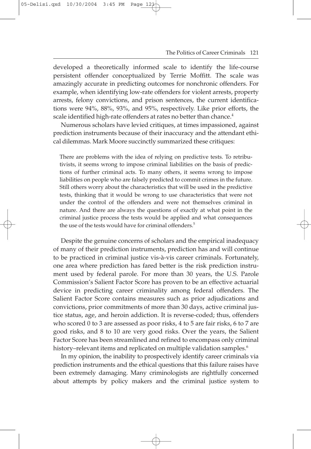developed a theoretically informed scale to identify the life-course persistent offender conceptualized by Terrie Moffitt. The scale was amazingly accurate in predicting outcomes for nonchronic offenders. For example, when identifying low-rate offenders for violent arrests, property arrests, felony convictions, and prison sentences, the current identifications were 94%, 88%, 93%, and 95%, respectively. Like prior efforts, the scale identified high-rate offenders at rates no better than chance.<sup>4</sup>

Numerous scholars have levied critiques, at times impassioned, against prediction instruments because of their inaccuracy and the attendant ethical dilemmas. Mark Moore succinctly summarized these critiques:

There are problems with the idea of relying on predictive tests. To retributivists, it seems wrong to impose criminal liabilities on the basis of predictions of further criminal acts. To many others, it seems wrong to impose liabilities on people who are falsely predicted to commit crimes in the future. Still others worry about the characteristics that will be used in the predictive tests, thinking that it would be wrong to use characteristics that were not under the control of the offenders and were not themselves criminal in nature. And there are always the questions of exactly at what point in the criminal justice process the tests would be applied and what consequences the use of the tests would have for criminal offenders.<sup>5</sup>

Despite the genuine concerns of scholars and the empirical inadequacy of many of their prediction instruments, prediction has and will continue to be practiced in criminal justice vis-à-vis career criminals. Fortunately, one area where prediction has fared better is the risk prediction instrument used by federal parole. For more than 30 years, the U.S. Parole Commission's Salient Factor Score has proven to be an effective actuarial device in predicting career criminality among federal offenders. The Salient Factor Score contains measures such as prior adjudications and convictions, prior commitments of more than 30 days, active criminal justice status, age, and heroin addiction. It is reverse-coded; thus, offenders who scored 0 to 3 are assessed as poor risks, 4 to 5 are fair risks, 6 to 7 are good risks, and 8 to 10 are very good risks. Over the years, the Salient Factor Score has been streamlined and refined to encompass only criminal history–relevant items and replicated on multiple validation samples.<sup>6</sup>

In my opinion, the inability to prospectively identify career criminals via prediction instruments and the ethical questions that this failure raises have been extremely damaging. Many criminologists are rightfully concerned about attempts by policy makers and the criminal justice system to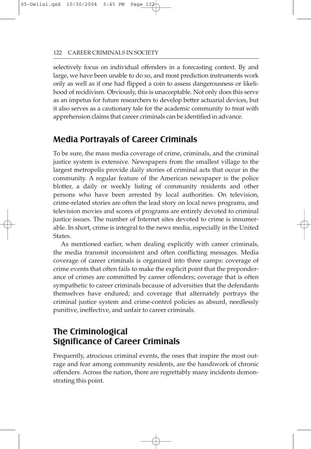selectively focus on individual offenders in a forecasting context. By and large, we have been unable to do so, and most prediction instruments work only as well as if one had flipped a coin to assess dangerousness or likelihood of recidivism. Obviously, this is unacceptable. Not only does this serve as an impetus for future researchers to develop better actuarial devices, but it also serves as a cautionary tale for the academic community to treat with apprehension claims that career criminals can be identified in advance.

# **Media Portrayals of Career Criminals**

To be sure, the mass media coverage of crime, criminals, and the criminal justice system is extensive. Newspapers from the smallest village to the largest metropolis provide daily stories of criminal acts that occur in the community. A regular feature of the American newspaper is the police blotter, a daily or weekly listing of community residents and other persons who have been arrested by local authorities. On television, crime-related stories are often the lead story on local news programs, and television movies and scores of programs are entirely devoted to criminal justice issues. The number of Internet sites devoted to crime is innumerable. In short, crime is integral to the news media, especially in the United States.

As mentioned earlier, when dealing explicitly with career criminals, the media transmit inconsistent and often conflicting messages. Media coverage of career criminals is organized into three camps: coverage of crime events that often fails to make the explicit point that the preponderance of crimes are committed by career offenders; coverage that is often sympathetic to career criminals because of adversities that the defendants themselves have endured; and coverage that alternately portrays the criminal justice system and crime-control policies as absurd, needlessly punitive, ineffective, and unfair to career criminals.

# **The Criminological Significance of Career Criminals**

Frequently, atrocious criminal events, the ones that inspire the most outrage and fear among community residents, are the handiwork of chronic offenders. Across the nation, there are regrettably many incidents demonstrating this point.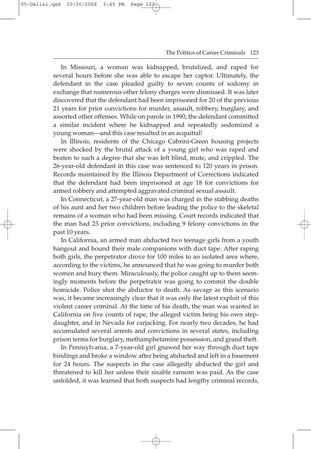In Missouri, a woman was kidnapped, brutalized, and raped for several hours before she was able to escape her captor. Ultimately, the defendant in the case pleaded guilty to seven counts of sodomy in exchange that numerous other felony charges were dismissed. It was later discovered that the defendant had been imprisoned for 20 of the previous 21 years for prior convictions for murder, assault, robbery, burglary, and assorted other offenses. While on parole in 1990, the defendant committed a similar incident where he kidnapped and repeatedly sodomized a young woman—and this case resulted in an acquittal!

In Illinois, residents of the Chicago Cabrini-Green housing projects were shocked by the brutal attack of a young girl who was raped and beaten to such a degree that she was left blind, mute, and crippled. The 26-year-old defendant in this case was sentenced to 120 years in prison. Records maintained by the Illinois Department of Corrections indicated that the defendant had been imprisoned at age 18 for convictions for armed robbery and attempted aggravated criminal sexual assault.

In Connecticut, a 27-year-old man was charged in the stabbing deaths of his aunt and her two children before leading the police to the skeletal remains of a woman who had been missing. Court records indicated that the man had 23 prior convictions, including 9 felony convictions in the past 10 years.

In California, an armed man abducted two teenage girls from a youth hangout and bound their male companions with duct tape. After raping both girls, the perpetrator drove for 100 miles to an isolated area where, according to the victims, he announced that he was going to murder both women and bury them. Miraculously, the police caught up to them seemingly moments before the perpetrator was going to commit the double homicide. Police shot the abductor to death. As savage as this scenario was, it became increasingly clear that it was only the latest exploit of this violent career criminal. At the time of his death, the man was wanted in California on five counts of rape, the alleged victim being his own stepdaughter, and in Nevada for carjacking. For nearly two decades, he had accumulated several arrests and convictions in several states, including prison terms for burglary, methamphetamine possession, and grand theft.

In Pennsylvania, a 7-year-old girl gnawed her way through duct tape bindings and broke a window after being abducted and left in a basement for 24 hours. The suspects in the case allegedly abducted the girl and threatened to kill her unless their sizable ransom was paid. As the case unfolded, it was learned that both suspects had lengthy criminal records,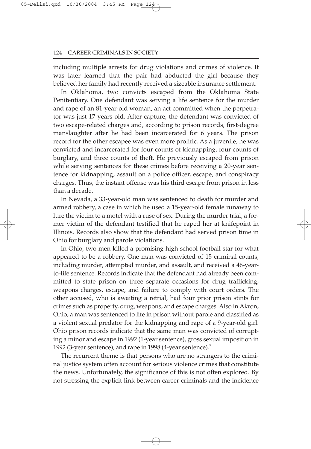including multiple arrests for drug violations and crimes of violence. It was later learned that the pair had abducted the girl because they believed her family had recently received a sizeable insurance settlement.

In Oklahoma, two convicts escaped from the Oklahoma State Penitentiary. One defendant was serving a life sentence for the murder and rape of an 81-year-old woman, an act committed when the perpetrator was just 17 years old. After capture, the defendant was convicted of two escape-related charges and, according to prison records, first-degree manslaughter after he had been incarcerated for 6 years. The prison record for the other escapee was even more prolific. As a juvenile, he was convicted and incarcerated for four counts of kidnapping, four counts of burglary, and three counts of theft. He previously escaped from prison while serving sentences for these crimes before receiving a 20-year sentence for kidnapping, assault on a police officer, escape, and conspiracy charges. Thus, the instant offense was his third escape from prison in less than a decade.

In Nevada, a 33-year-old man was sentenced to death for murder and armed robbery, a case in which he used a 15-year-old female runaway to lure the victim to a motel with a ruse of sex. During the murder trial, a former victim of the defendant testified that he raped her at knifepoint in Illinois. Records also show that the defendant had served prison time in Ohio for burglary and parole violations.

In Ohio, two men killed a promising high school football star for what appeared to be a robbery. One man was convicted of 15 criminal counts, including murder, attempted murder, and assault, and received a 46-yearto-life sentence. Records indicate that the defendant had already been committed to state prison on three separate occasions for drug trafficking, weapons charges, escape, and failure to comply with court orders. The other accused, who is awaiting a retrial, had four prior prison stints for crimes such as property, drug, weapons, and escape charges. Also in Akron, Ohio, a man was sentenced to life in prison without parole and classified as a violent sexual predator for the kidnapping and rape of a 9-year-old girl. Ohio prison records indicate that the same man was convicted of corrupting a minor and escape in 1992 (1-year sentence), gross sexual imposition in 1992 (3-year sentence), and rape in 1998 (4-year sentence).7

The recurrent theme is that persons who are no strangers to the criminal justice system often account for serious violence crimes that constitute the news. Unfortunately, the significance of this is not often explored. By not stressing the explicit link between career criminals and the incidence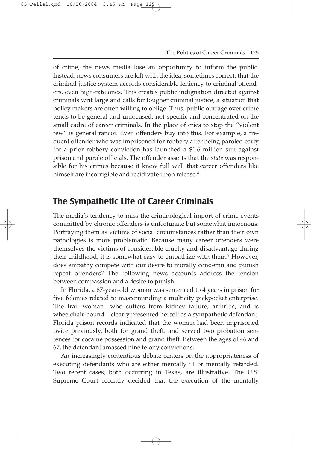of crime, the news media lose an opportunity to inform the public. Instead, news consumers are left with the idea, sometimes correct, that the criminal justice system accords considerable leniency to criminal offenders, even high-rate ones. This creates public indignation directed against criminals writ large and calls for tougher criminal justice, a situation that policy makers are often willing to oblige. Thus, public outrage over crime tends to be general and unfocused, not specific and concentrated on the small cadre of career criminals. In the place of cries to stop the "violent few" is general rancor. Even offenders buy into this. For example, a frequent offender who was imprisoned for robbery after being paroled early for a prior robbery conviction has launched a \$1.6 million suit against prison and parole officials. The offender asserts that the *state* was responsible for his crimes because it knew full well that career offenders like himself are incorrigible and recidivate upon release.<sup>8</sup>

# **The Sympathetic Life of Career Criminals**

The media's tendency to miss the criminological import of crime events committed by chronic offenders is unfortunate but somewhat innocuous. Portraying them as victims of social circumstances rather than their own pathologies is more problematic. Because many career offenders were themselves the victims of considerable cruelty and disadvantage during their childhood, it is somewhat easy to empathize with them.<sup>9</sup> However, does empathy compete with our desire to morally condemn and punish repeat offenders? The following news accounts address the tension between compassion and a desire to punish.

In Florida, a 67-year-old woman was sentenced to 4 years in prison for five felonies related to masterminding a multicity pickpocket enterprise. The frail woman—who suffers from kidney failure, arthritis, and is wheelchair-bound—clearly presented herself as a sympathetic defendant. Florida prison records indicated that the woman had been imprisoned twice previously, both for grand theft, and served two probation sentences for cocaine possession and grand theft. Between the ages of 46 and 67, the defendant amassed nine felony convictions.

An increasingly contentious debate centers on the appropriateness of executing defendants who are either mentally ill or mentally retarded. Two recent cases, both occurring in Texas, are illustrative. The U.S. Supreme Court recently decided that the execution of the mentally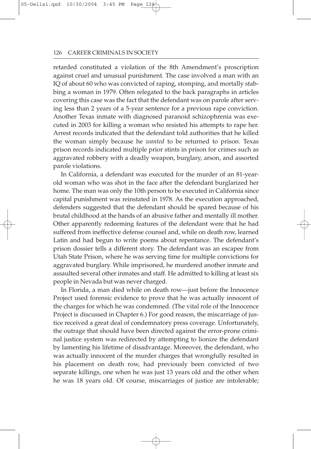retarded constituted a violation of the 8th Amendment's proscription against cruel and unusual punishment. The case involved a man with an IQ of about 60 who was convicted of raping, stomping, and mortally stabbing a woman in 1979. Often relegated to the back paragraphs in articles covering this case was the fact that the defendant was on parole after serving less than 2 years of a 5-year sentence for a previous rape conviction. Another Texas inmate with diagnosed paranoid schizophrenia was executed in 2003 for killing a woman who resisted his attempts to rape her. Arrest records indicated that the defendant told authorities that he killed the woman simply because he *wanted* to be returned to prison. Texas prison records indicated multiple prior stints in prison for crimes such as aggravated robbery with a deadly weapon, burglary, arson, and assorted parole violations.

In California, a defendant was executed for the murder of an 81-yearold woman who was shot in the face after the defendant burglarized her home. The man was only the 10th person to be executed in California since capital punishment was reinstated in 1978. As the execution approached, defenders suggested that the defendant should be spared because of his brutal childhood at the hands of an abusive father and mentally ill mother. Other apparently redeeming features of the defendant were that he had suffered from ineffective defense counsel and, while on death row, learned Latin and had begun to write poems about repentance. The defendant's prison dossier tells a different story. The defendant was an escapee from Utah State Prison, where he was serving time for multiple convictions for aggravated burglary. While imprisoned, he murdered another inmate and assaulted several other inmates and staff. He admitted to killing at least six people in Nevada but was never charged.

In Florida, a man died while on death row—just before the Innocence Project used forensic evidence to prove that he was actually innocent of the charges for which he was condemned. (The vital role of the Innocence Project is discussed in Chapter 6.) For good reason, the miscarriage of justice received a great deal of condemnatory press coverage. Unfortunately, the outrage that should have been directed against the error-prone criminal justice system was redirected by attempting to lionize the defendant by lamenting his lifetime of disadvantage. Moreover, the defendant, who was actually innocent of the murder charges that wrongfully resulted in his placement on death row, had previously been convicted of two separate killings, one when he was just 13 years old and the other when he was 18 years old. Of course, miscarriages of justice are intolerable;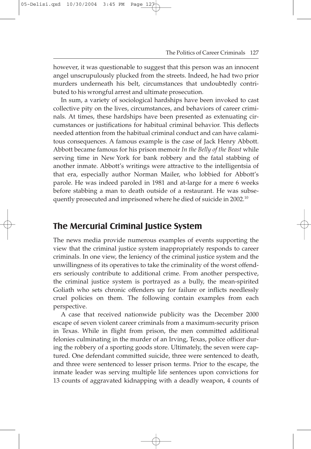05-Delisi.qxd 10/30/2004 3:45

however, it was questionable to suggest that this person was an innocent angel unscrupulously plucked from the streets. Indeed, he had two prior murders underneath his belt, circumstances that undoubtedly contributed to his wrongful arrest and ultimate prosecution.

In sum, a variety of sociological hardships have been invoked to cast collective pity on the lives, circumstances, and behaviors of career criminals. At times, these hardships have been presented as extenuating circumstances or justifications for habitual criminal behavior. This deflects needed attention from the habitual criminal conduct and can have calamitous consequences. A famous example is the case of Jack Henry Abbott. Abbott became famous for his prison memoir *In the Belly of the Beast* while serving time in New York for bank robbery and the fatal stabbing of another inmate. Abbott's writings were attractive to the intelligentsia of that era, especially author Norman Mailer, who lobbied for Abbott's parole. He was indeed paroled in 1981 and at-large for a mere 6 weeks before stabbing a man to death outside of a restaurant. He was subsequently prosecuted and imprisoned where he died of suicide in 2002.10

# **The Mercurial Criminal Justice System**

The news media provide numerous examples of events supporting the view that the criminal justice system inappropriately responds to career criminals. In one view, the leniency of the criminal justice system and the unwillingness of its operatives to take the criminality of the worst offenders seriously contribute to additional crime. From another perspective, the criminal justice system is portrayed as a bully, the mean-spirited Goliath who sets chronic offenders up for failure or inflicts needlessly cruel policies on them. The following contain examples from each perspective.

A case that received nationwide publicity was the December 2000 escape of seven violent career criminals from a maximum-security prison in Texas. While in flight from prison, the men committed additional felonies culminating in the murder of an Irving, Texas, police officer during the robbery of a sporting goods store. Ultimately, the seven were captured. One defendant committed suicide, three were sentenced to death, and three were sentenced to lesser prison terms. Prior to the escape, the inmate leader was serving multiple life sentences upon convictions for 13 counts of aggravated kidnapping with a deadly weapon, 4 counts of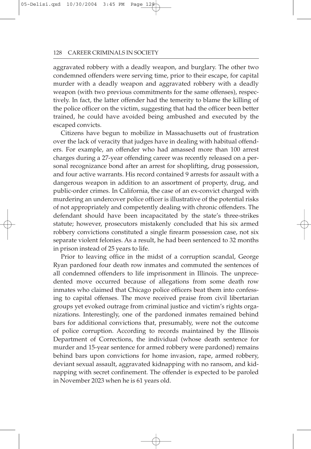aggravated robbery with a deadly weapon, and burglary. The other two condemned offenders were serving time, prior to their escape, for capital murder with a deadly weapon and aggravated robbery with a deadly weapon (with two previous commitments for the same offenses), respectively. In fact, the latter offender had the temerity to blame the killing of the police officer on the victim, suggesting that had the officer been better trained, he could have avoided being ambushed and executed by the escaped convicts.

Citizens have begun to mobilize in Massachusetts out of frustration over the lack of veracity that judges have in dealing with habitual offenders. For example, an offender who had amassed more than 100 arrest charges during a 27-year offending career was recently released on a personal recognizance bond after an arrest for shoplifting, drug possession, and four active warrants. His record contained 9 arrests for assault with a dangerous weapon in addition to an assortment of property, drug, and public-order crimes. In California, the case of an ex-convict charged with murdering an undercover police officer is illustrative of the potential risks of not appropriately and competently dealing with chronic offenders. The defendant should have been incapacitated by the state's three-strikes statute; however, prosecutors mistakenly concluded that his six armed robbery convictions constituted a single firearm possession case, not six separate violent felonies. As a result, he had been sentenced to 32 months in prison instead of 25 years to life.

Prior to leaving office in the midst of a corruption scandal, George Ryan pardoned four death row inmates and commuted the sentences of all condemned offenders to life imprisonment in Illinois. The unprecedented move occurred because of allegations from some death row inmates who claimed that Chicago police officers beat them into confessing to capital offenses. The move received praise from civil libertarian groups yet evoked outrage from criminal justice and victim's rights organizations. Interestingly, one of the pardoned inmates remained behind bars for additional convictions that, presumably, were not the outcome of police corruption. According to records maintained by the Illinois Department of Corrections, the individual (whose death sentence for murder and 15-year sentence for armed robbery were pardoned) remains behind bars upon convictions for home invasion, rape, armed robbery, deviant sexual assault, aggravated kidnapping with no ransom, and kidnapping with secret confinement. The offender is expected to be paroled in November 2023 when he is 61 years old.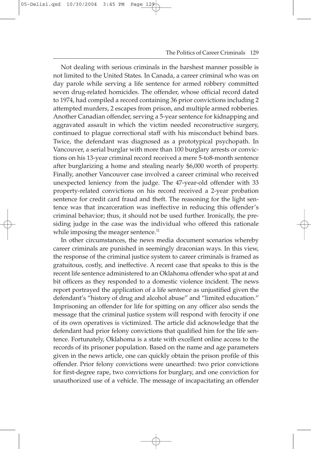#### 05-Delisi.qxd 10/30/2004 3:45

#### The Politics of Career Criminals 129

Not dealing with serious criminals in the harshest manner possible is not limited to the United States. In Canada, a career criminal who was on day parole while serving a life sentence for armed robbery committed seven drug-related homicides. The offender, whose official record dated to 1974, had compiled a record containing 36 prior convictions including 2 attempted murders, 2 escapes from prison, and multiple armed robberies. Another Canadian offender, serving a 5-year sentence for kidnapping and aggravated assault in which the victim needed reconstructive surgery, continued to plague correctional staff with his misconduct behind bars. Twice, the defendant was diagnosed as a prototypical psychopath. In Vancouver, a serial burglar with more than 100 burglary arrests or convictions on his 13-year criminal record received a mere 5-to8-month sentence after burglarizing a home and stealing nearly \$6,000 worth of property. Finally, another Vancouver case involved a career criminal who received unexpected leniency from the judge. The 47-year-old offender with 33 property-related convictions on his record received a 2-year probation sentence for credit card fraud and theft. The reasoning for the light sentence was that incarceration was ineffective in reducing this offender's criminal behavior; thus, it should not be used further. Ironically, the presiding judge in the case was the individual who offered this rationale while imposing the meager sentence.<sup>11</sup>

In other circumstances, the news media document scenarios whereby career criminals are punished in seemingly draconian ways. In this view, the response of the criminal justice system to career criminals is framed as gratuitous, costly, and ineffective. A recent case that speaks to this is the recent life sentence administered to an Oklahoma offender who spat at and bit officers as they responded to a domestic violence incident. The news report portrayed the application of a life sentence as unjustified given the defendant's "history of drug and alcohol abuse" and "limited education." Imprisoning an offender for life for spitting on any officer also sends the message that the criminal justice system will respond with ferocity if one of its own operatives is victimized. The article did acknowledge that the defendant had prior felony convictions that qualified him for the life sentence. Fortunately, Oklahoma is a state with excellent online access to the records of its prisoner population. Based on the name and age parameters given in the news article, one can quickly obtain the prison profile of this offender. Prior felony convictions were unearthed: two prior convictions for first-degree rape, two convictions for burglary, and one conviction for unauthorized use of a vehicle. The message of incapacitating an offender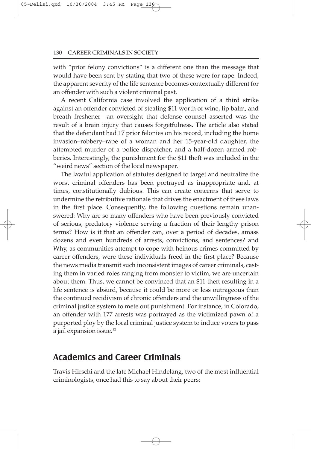with "prior felony convictions" is a different one than the message that would have been sent by stating that two of these were for rape. Indeed, the apparent severity of the life sentence becomes contextually different for an offender with such a violent criminal past.

A recent California case involved the application of a third strike against an offender convicted of stealing \$11 worth of wine, lip balm, and breath freshener—an oversight that defense counsel asserted was the result of a brain injury that causes forgetfulness. The article also stated that the defendant had 17 prior felonies on his record, including the home invasion–robbery–rape of a woman and her 15-year-old daughter, the attempted murder of a police dispatcher, and a half-dozen armed robberies. Interestingly, the punishment for the \$11 theft was included in the "weird news" section of the local newspaper.

The lawful application of statutes designed to target and neutralize the worst criminal offenders has been portrayed as inappropriate and, at times, constitutionally dubious. This can create concerns that serve to undermine the retributive rationale that drives the enactment of these laws in the first place. Consequently, the following questions remain unanswered: Why are so many offenders who have been previously convicted of serious, predatory violence serving a fraction of their lengthy prison terms? How is it that an offender can, over a period of decades, amass dozens and even hundreds of arrests, convictions, and sentences? and Why, as communities attempt to cope with heinous crimes committed by career offenders, were these individuals freed in the first place? Because the news media transmit such inconsistent images of career criminals, casting them in varied roles ranging from monster to victim, we are uncertain about them. Thus, we cannot be convinced that an \$11 theft resulting in a life sentence is absurd, because it could be more or less outrageous than the continued recidivism of chronic offenders and the unwillingness of the criminal justice system to mete out punishment. For instance, in Colorado, an offender with 177 arrests was portrayed as the victimized pawn of a purported ploy by the local criminal justice system to induce voters to pass a jail expansion issue.<sup>12</sup>

# **Academics and Career Criminals**

Travis Hirschi and the late Michael Hindelang, two of the most influential criminologists, once had this to say about their peers: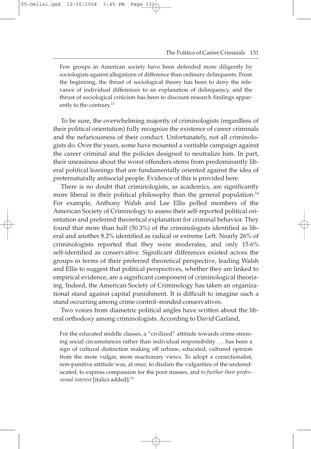Few groups in American society have been defended more diligently by sociologists against allegations of difference than ordinary delinquents. From the beginning, the thrust of sociological theory has been to deny the relevance of individual differences to an explanation of delinquency, and the thrust of sociological criticism has been to discount research findings apparently to the contrary.<sup>13</sup>

To be sure, the overwhelming majority of criminologists (regardless of their political orientation) fully recognize the existence of career criminals and the nefariousness of their conduct. Unfortunately, not all criminologists do. Over the years, some have mounted a veritable campaign against the career criminal and the policies designed to neutralize him. In part, their uneasiness about the worst offenders stems from predominantly liberal political leanings that are fundamentally oriented against the idea of preternaturally antisocial people. Evidence of this is provided here.

There is no doubt that criminologists, as academics, are significantly more liberal in their political philosophy than the general population.<sup>14</sup> For example, Anthony Walsh and Lee Ellis polled members of the American Society of Criminology to assess their self-reported political orientation and preferred theoretical explanation for criminal behavior. They found that more than half (50.3%) of the criminologists identified as liberal and another 8.2% identified as radical or extreme Left. Nearly 26% of criminologists reported that they were moderates, and only 15.6% self-identified as conservative. Significant differences existed across the groups in terms of their preferred theoretical perspective, leading Walsh and Ellis to suggest that political perspectives, whether they are linked to empirical evidence, are a significant component of criminological theorizing. Indeed, the American Society of Criminology has taken an organizational stand against capital punishment. It is difficult to imagine such a stand occurring among crime control–minded conservatives.

Two voices from diametric political angles have written about the liberal orthodoxy among criminologists. According to David Garland,

For the educated middle classes, a "civilized" attitude towards crime-stressing social circumstances rather than individual responsibility... has been a sign of cultural distinction making off urbane, educated, cultured opinion from the more vulgar, more reactionary views. To adopt a correctionalist, non-punitive attitude was, at once, to disdain the vulgarities of the undereducated, to express compassion for the poor masses, and *to further their professional interest* [italics added].15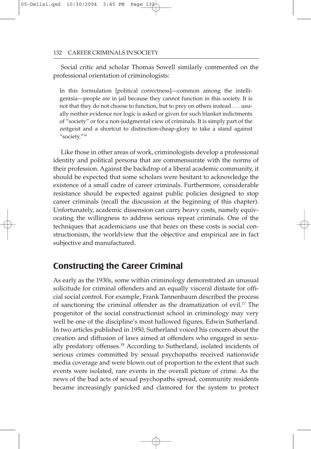Social critic and scholar Thomas Sowell similarly commented on the professional orientation of criminologists:

In this formulation [political correctness]—common among the intelligentsia—people are in jail because they cannot function in this society. It is not that they do not choose to function, but to prey on others instead . . . usually neither evidence nor logic is asked or given for such blanket indictments of "society" or for a non-judgmental view of criminals. It is simply part of the zeitgeist and a shortcut to distinction-cheap-glory to take a stand against "society."16

Like those in other areas of work, criminologists develop a professional identity and political persona that are commensurate with the norms of their profession. Against the backdrop of a liberal academic community, it should be expected that some scholars were hesitant to acknowledge the existence of a small cadre of career criminals. Furthermore, considerable resistance should be expected against public policies designed to stop career criminals (recall the discussion at the beginning of this chapter). Unfortunately, academic dissension can carry heavy costs, namely equivocating the willingness to address serious repeat criminals. One of the techniques that academicians use that bears on these costs is social constructionism, the worldview that the objective and empirical are in fact subjective and manufactured.

# **Constructing the Career Criminal**

As early as the 1930s, some within criminology demonstrated an unusual solicitude for criminal offenders and an equally visceral distaste for official social control. For example, Frank Tannenbaum described the process of sanctioning the criminal offender as the dramatization of evil.<sup>17</sup> The progenitor of the social constructionist school in criminology may very well be one of the discipline's most hallowed figures, Edwin Sutherland. In two articles published in 1950, Sutherland voiced his concern about the creation and diffusion of laws aimed at offenders who engaged in sexually predatory offenses.18 According to Sutherland, isolated incidents of serious crimes committed by sexual psychopaths received nationwide media coverage and were blown out of proportion to the extent that such events were isolated, rare events in the overall picture of crime. As the news of the bad acts of sexual psychopaths spread, community residents became increasingly panicked and clamored for the system to protect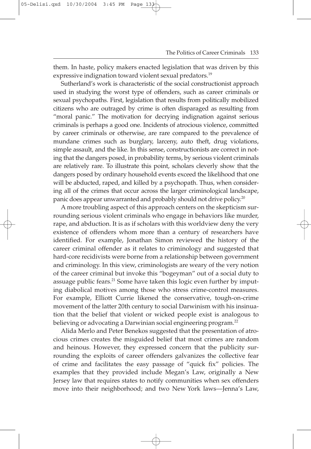05-Delisi.qxd 10/30/2004 3:45

them. In haste, policy makers enacted legislation that was driven by this expressive indignation toward violent sexual predators.<sup>19</sup>

Sutherland's work is characteristic of the social constructionist approach used in studying the worst type of offenders, such as career criminals or sexual psychopaths. First, legislation that results from politically mobilized citizens who are outraged by crime is often disparaged as resulting from "moral panic." The motivation for decrying indignation against serious criminals is perhaps a good one. Incidents of atrocious violence, committed by career criminals or otherwise, are rare compared to the prevalence of mundane crimes such as burglary, larceny, auto theft, drug violations, simple assault, and the like. In this sense, constructionists are correct in noting that the dangers posed, in probability terms, by serious violent criminals are relatively rare. To illustrate this point, scholars cleverly show that the dangers posed by ordinary household events exceed the likelihood that one will be abducted, raped, and killed by a psychopath. Thus, when considering all of the crimes that occur across the larger criminological landscape, panic does appear unwarranted and probably should not drive policy.<sup>20</sup>

A more troubling aspect of this approach centers on the skepticism surrounding serious violent criminals who engage in behaviors like murder, rape, and abduction. It is as if scholars with this worldview deny the very existence of offenders whom more than a century of researchers have identified. For example, Jonathan Simon reviewed the history of the career criminal offender as it relates to criminology and suggested that hard-core recidivists were borne from a relationship between government and criminology. In this view, criminologists are weary of the very notion of the career criminal but invoke this "bogeyman" out of a social duty to assuage public fears.<sup>21</sup> Some have taken this logic even further by imputing diabolical motives among those who stress crime-control measures. For example, Elliott Currie likened the conservative, tough-on-crime movement of the latter 20th century to social Darwinism with his insinuation that the belief that violent or wicked people exist is analogous to believing or advocating a Darwinian social engineering program.<sup>22</sup>

Alida Merlo and Peter Benekos suggested that the presentation of atrocious crimes creates the misguided belief that most crimes are random and heinous. However, they expressed concern that the publicity surrounding the exploits of career offenders galvanizes the collective fear of crime and facilitates the easy passage of "quick fix" policies. The examples that they provided include Megan's Law, originally a New Jersey law that requires states to notify communities when sex offenders move into their neighborhood; and two New York laws—Jenna's Law,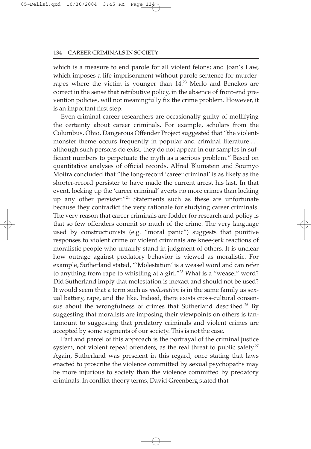which is a measure to end parole for all violent felons; and Joan's Law, which imposes a life imprisonment without parole sentence for murderrapes where the victim is younger than 14.<sup>23</sup> Merlo and Benekos are correct in the sense that retributive policy, in the absence of front-end prevention policies, will not meaningfully fix the crime problem. However, it is an important first step.

Even criminal career researchers are occasionally guilty of mollifying the certainty about career criminals. For example, scholars from the Columbus, Ohio, Dangerous Offender Project suggested that "the violentmonster theme occurs frequently in popular and criminal literature ... although such persons do exist, they do not appear in our samples in sufficient numbers to perpetuate the myth as a serious problem." Based on quantitative analyses of official records, Alfred Blumstein and Soumyo Moitra concluded that "the long-record 'career criminal' is as likely as the shorter-record persister to have made the current arrest his last. In that event, locking up the 'career criminal' averts no more crimes than locking up any other persister."<sup>24</sup> Statements such as these are unfortunate because they contradict the very rationale for studying career criminals. The very reason that career criminals are fodder for research and policy is that so few offenders commit so much of the crime. The very language used by constructionists (e.g. "moral panic") suggests that punitive responses to violent crime or violent criminals are knee-jerk reactions of moralistic people who unfairly stand in judgment of others. It is unclear how outrage against predatory behavior is viewed as moralistic. For example, Sutherland stated, "'Molestation' is a weasel word and can refer to anything from rape to whistling at a girl."25 What is a "weasel" word? Did Sutherland imply that molestation is inexact and should not be used? It would seem that a term such as *molestation* is in the same family as sexual battery, rape, and the like. Indeed, there exists cross-cultural consensus about the wrongfulness of crimes that Sutherland described.<sup>26</sup> By suggesting that moralists are imposing their viewpoints on others is tantamount to suggesting that predatory criminals and violent crimes are accepted by some segments of our society. This is not the case.

Part and parcel of this approach is the portrayal of the criminal justice system, not violent repeat offenders, as the real threat to public safety.<sup>27</sup> Again, Sutherland was prescient in this regard, once stating that laws enacted to proscribe the violence committed by sexual psychopaths may be more injurious to society than the violence committed by predatory criminals. In conflict theory terms, David Greenberg stated that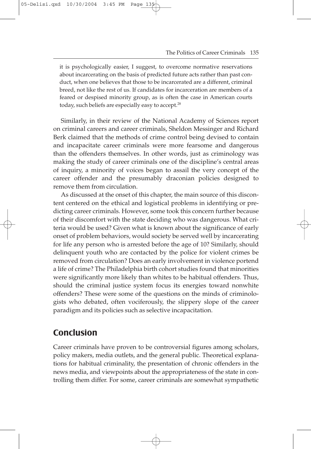it is psychologically easier, I suggest, to overcome normative reservations about incarcerating on the basis of predicted future acts rather than past conduct, when one believes that those to be incarcerated are a different, criminal breed, not like the rest of us. If candidates for incarceration are members of a feared or despised minority group, as is often the case in American courts today, such beliefs are especially easy to accept.<sup>28</sup>

Similarly, in their review of the National Academy of Sciences report on criminal careers and career criminals, Sheldon Messinger and Richard Berk claimed that the methods of crime control being devised to contain and incapacitate career criminals were more fearsome and dangerous than the offenders themselves. In other words, just as criminology was making the study of career criminals one of the discipline's central areas of inquiry, a minority of voices began to assail the very concept of the career offender and the presumably draconian policies designed to remove them from circulation.

As discussed at the onset of this chapter, the main source of this discontent centered on the ethical and logistical problems in identifying or predicting career criminals. However, some took this concern further because of their discomfort with the state deciding who was dangerous. What criteria would be used? Given what is known about the significance of early onset of problem behaviors, would society be served well by incarcerating for life any person who is arrested before the age of 10? Similarly, should delinquent youth who are contacted by the police for violent crimes be removed from circulation? Does an early involvement in violence portend a life of crime? The Philadelphia birth cohort studies found that minorities were significantly more likely than whites to be habitual offenders. Thus, should the criminal justice system focus its energies toward nonwhite offenders? These were some of the questions on the minds of criminologists who debated, often vociferously, the slippery slope of the career paradigm and its policies such as selective incapacitation.

# **Conclusion**

05-Delisi.qxd 10/30/2004 3:45

Career criminals have proven to be controversial figures among scholars, policy makers, media outlets, and the general public. Theoretical explanations for habitual criminality, the presentation of chronic offenders in the news media, and viewpoints about the appropriateness of the state in controlling them differ. For some, career criminals are somewhat sympathetic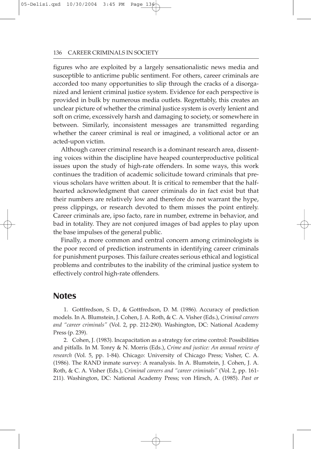figures who are exploited by a largely sensationalistic news media and susceptible to anticrime public sentiment. For others, career criminals are accorded too many opportunities to slip through the cracks of a disorganized and lenient criminal justice system. Evidence for each perspective is provided in bulk by numerous media outlets. Regrettably, this creates an unclear picture of whether the criminal justice system is overly lenient and soft on crime, excessively harsh and damaging to society, or somewhere in between. Similarly, inconsistent messages are transmitted regarding whether the career criminal is real or imagined, a volitional actor or an acted-upon victim.

Although career criminal research is a dominant research area, dissenting voices within the discipline have heaped counterproductive political issues upon the study of high-rate offenders. In some ways, this work continues the tradition of academic solicitude toward criminals that previous scholars have written about. It is critical to remember that the halfhearted acknowledgment that career criminals do in fact exist but that their numbers are relatively low and therefore do not warrant the hype, press clippings, or research devoted to them misses the point entirely. Career criminals are, ipso facto, rare in number, extreme in behavior, and bad in totality. They are not conjured images of bad apples to play upon the base impulses of the general public.

Finally, a more common and central concern among criminologists is the poor record of prediction instruments in identifying career criminals for punishment purposes. This failure creates serious ethical and logistical problems and contributes to the inability of the criminal justice system to effectively control high-rate offenders.

# **Notes**

1. Gottfredson, S. D., & Gottfredson, D. M. (1986). Accuracy of prediction models. In A. Blumstein, J. Cohen, J. A. Roth, & C. A. Visher (Eds.), *Criminal careers and "career criminals"* (Vol. 2, pp. 212-290). Washington, DC: National Academy Press (p. 239).

2. Cohen, J. (1983). Incapacitation as a strategy for crime control: Possibilities and pitfalls. In M. Tonry & N. Morris (Eds.), *Crime and justice: An annual review of research* (Vol. 5, pp. 1-84). Chicago: University of Chicago Press; Visher, C. A. (1986). The RAND inmate survey: A reanalysis. In A. Blumstein, J. Cohen, J. A. Roth, & C. A. Visher (Eds.), *Criminal careers and "career criminals"* (Vol. 2, pp. 161- 211). Washington, DC: National Academy Press; von Hirsch, A. (1985). *Past or*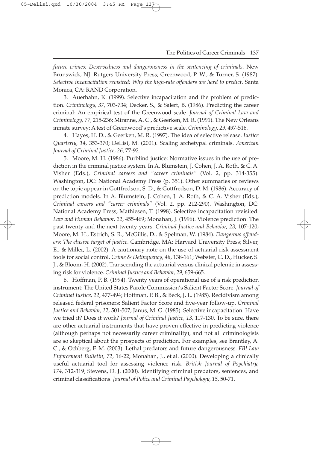*future crimes: Deservedness and dangerousness in the sentencing of criminals*. New Brunswick, NJ: Rutgers University Press; Greenwood, P. W., & Turner, S. (1987). *Selective incapacitation revisited: Why the high-rate offenders are hard to predict*. Santa Monica, CA: RAND Corporation.

3. Auerhahn, K. (1999). Selective incapacitation and the problem of prediction. *Criminology, 37,* 703-734; Decker, S., & Salert, B. (1986). Predicting the career criminal: An empirical test of the Greenwood scale. *Journal of Criminal Law and Criminology, 77,* 215-236; Miranne, A. C., & Geerken, M. R. (1991). The New Orleans inmate survey: A test of Greenwood's predictive scale. *Criminology, 29,* 497-516.

4. Hayes, H. D., & Geerken, M. R. (1997). The idea of selective release. *Justice Quarterly, 14,* 353-370; DeLisi, M. (2001). Scaling archetypal criminals. *American Journal of Criminal Justice, 26,* 77-92.

5. Moore, M. H. (1986). Purblind justice: Normative issues in the use of prediction in the criminal justice system. In A. Blumstein, J. Cohen, J. A. Roth, & C. A. Visher (Eds.), *Criminal careers and "career criminals"* (Vol. 2, pp. 314-355). Washington, DC: National Academy Press (p. 351). Other summaries or reviews on the topic appear in Gottfredson, S. D., & Gottfredson, D. M. (1986). Accuracy of prediction models. In A. Blumstein, J. Cohen, J. A. Roth, & C. A. Visher (Eds.), *Criminal careers and "career criminals"* (Vol. 2, pp. 212-290). Washington, DC: National Academy Press; Mathiesen, T. (1998). Selective incapacitation revisited. *Law and Human Behavior, 22,* 455-469; Monahan, J. (1996). Violence prediction: The past twenty and the next twenty years. *Criminal Justice and Behavior, 23,* 107-120; Moore, M. H., Estrich, S. R., McGillis, D., & Spelman, W. (1984). *Dangerous offenders: The elusive target of justice*. Cambridge, MA: Harvard University Press; Silver, E., & Miller, L. (2002). A cautionary note on the use of actuarial risk assessment tools for social control. *Crime & Delinquency, 48,* 138-161; Webster, C. D., Hucker, S. J., & Bloom, H. (2002). Transcending the actuarial versus clinical polemic in assessing risk for violence. *Criminal Justice and Behavior, 29,* 659-665.

6. Hoffman, P. B. (1994). Twenty years of operational use of a risk prediction instrument: The United States Parole Commission's Salient Factor Score. *Journal of Criminal Justice, 22,* 477-494; Hoffman, P. B., & Beck, J. L. (1985). Recidivism among released federal prisoners: Salient Factor Score and five-year follow-up. *Criminal Justice and Behavior, 12,* 501-507; Janus, M. G. (1985). Selective incapacitation: Have we tried it? Does it work? *Journal of Criminal Justice, 13,* 117-130. To be sure, there are other actuarial instruments that have proven effective in predicting violence (although perhaps not necessarily career criminality), and not all criminologists are so skeptical about the prospects of prediction. For examples, see Brantley, A. C., & Ochberg, F. M. (2003). Lethal predators and future dangerousness. *FBI Law Enforcement Bulletin, 72,* 16-22; Monahan, J., et al. (2000). Developing a clinically useful actuarial tool for assessing violence risk. *British Journal of Psychiatry, 174,* 312-319; Stevens, D. J. (2000). Identifying criminal predators, sentences, and criminal classifications. *Journal of Police and Criminal Psychology, 15,* 50-71.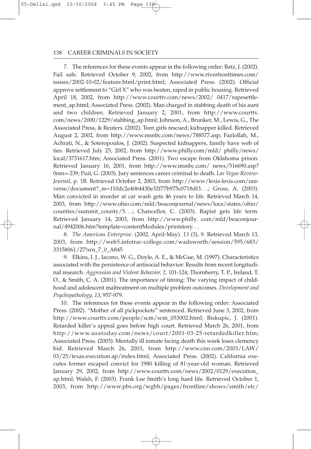7. The references for these events appear in the following order: Batz, J. (2002). Fail safe. Retrieved October 9, 2002, from http://www.riverfronttimes.com/ issues/2002-10-02/feature.html/print.html; Associated Press. (2002). Official approve settlement to "Girl X" who was beaten, raped in public housing. Retrieved April 18, 2002, from http://www.courttv.com/news/2002/ 0417/rapesettlement\_ap.html; Associated Press. (2002). Man charged in stabbing death of his aunt and two children. Retrieved January 2, 2001, from http://www.courttv. com/news/2000/1229/stabbing\_ap.html; Johnson, A., Brunker, M., Lewis, G., The Associated Press, & Reuters. (2002). Teen girls rescued; kidnapper killed. Retrieved August 2, 2002, from http://www.msnbc.com/news/788577.asp; Fazlollah, M., Achrati, N., & Soteropoulos, J. (2002). Suspected kidnappers, family have web of ties. Retrieved July 25, 2002, from http://www.philly.com/mld/ philly/news/ local/3731617.htm; Associated Press. (2001). Two escape from Oklahoma prison. Retrieved January 16, 2001, from http://www.msnbc.com/ news/516690.asp? 0nm=-239; Puit, G. (2003). Jury sentences career criminal to death. *Las Vegas Review-Journal*, p. 1B. Retrieved October 2, 2003, from http://www/lexis-lexis.com/universe/document?\_m=110dc2e4064430e32f77b975c0718df3. . .; Gross, A. (2003). Man convicted in murder at car wash gets 46 years to life. Retrieved March 14, 2003, from http://www.ohio.com/mld/beaconjournal/news/loca/states/ohio/ counties/summit\_county/5. . .; Chancellor, C. (2003). Rapist gets life term. Retrieved January 14, 2003, from http://www.philly. com/mld/beaconjournal/4942006.htm?template=contentModules/printstory. . .

8. *The American Enterprise*. (2002, April-May). *13* (3), 9. Retrieved March 13, 2003, from http://web5.infotrac-college.com/wadsworth/session/595/683/ 33158061/27!xrn\_7\_0\_A845

9. Elkins, I. J., Iacono, W. G., Doyle, A. E., & McGue, M. (1997). Characteristics associated with the persistence of antisocial behavior: Results from recent longitudinal research. *Aggression and Violent Behavior, 2,* 101-124; Thornberry, T. P., Ireland, T. O., & Smith, C. A. (2001). The importance of timing: The varying impact of childhood and adolescent maltreatment on multiple problem outcomes. *Development and Psychopathology, 13,* 957-979.

10. The references for these events appear in the following order: Associated Press. (2002). "Mother of all pickpockets" sentenced. Retrieved June 3, 2002, from http://www.courttv.com/people/scm/scm\_053002.html; Biskupic, J. (2001). Retarded killer's appeal goes before high court. Retrieved March 26, 2001, from http://www.usatoday.com/news/court/2001-03-25-retardedkiller.htm; Associated Press. (2003). Mentally ill inmate facing death this week loses clemency bid. Retrieved March 26, 2003, from http://www.cnn.com/2003/LAW/ 03/25/texas.execution.ap/index.html; Associated Press. (2002). California executes former escaped convict for 1980 killing of 81-year-old woman. Retrieved January 29, 2002, from http://www.courttv.com/news/2002/0129/execution\_ ap.html; Walsh, F. (2003). Frank Lee Smith's long hard life. Retrieved October 1, 2003, from http://www.pbs.org/wgbh/pages/frontline/shows/smith/etc/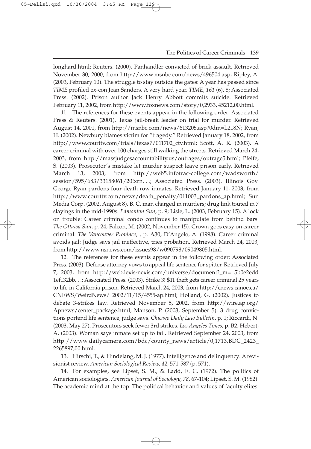longhard.html; Reuters. (2000). Panhandler convicted of brick assault. Retrieved November 30, 2000, from http://www.msnbc.com/news/496504.asp; Ripley, A. (2003, February 10). The struggle to stay outside the gates: A year has passed since *TIME* profiled ex-con Jean Sanders. A very hard year. *TIME*, *161* (6), 8; Associated Press. (2002). Prison author Jack Henry Abbott commits suicide. Retrieved February 11, 2002, from http://www.foxnews.com/story/0,2933, 45212,00.html.

11. The references for these events appear in the following order: Associated Press & Reuters. (2001). Texas jail-break leader on trial for murder. Retrieved August 14, 2001, from http://msnbc.com/news/613205.asp?0dm=L218N; Ryan, H. (2002). Newbury blames victim for "tragedy." Retrieved January 18, 2002, from http://www.courttv.com/trials/texas7/011702\_ctv.html; Scott, A. R. (2003). A career criminal with over 100 charges still walking the streets. Retrieved March 24, 2003, from http://massjudgesaccountability.us/outrages/outrage5.html; Pfeife, S. (2003). Prosecutor's mistake let murder suspect leave prison early. Retrieved March 13, 2003, from http://web5.infotrac-college.com/wadsworth/ session/595/683/33158061/20!xrn. . .; Associated Press. (2003). Illinois Gov. George Ryan pardons four death row inmates. Retrieved January 11, 2003, from http://www.courttv.com/news/death\_penalty/011003\_pardons\_ap.html; Sun Media Corp. (2002, August 8). B. C. man charged in murders; drug link touted in 7 slayings in the mid-1990s. *Edmonton Sun*, p. 9; Lisle, L. (2003, February 15). A lock on trouble: Career criminal condo continues to manipulate from behind bars. *The Ottawa Sun*, p. 24; Falcon, M. (2002, November 15). Crown goes easy on career criminal. *The Vancouver Province*, , p. A30; D'Angelo, A. (1998). Career criminal avoids jail: Judge says jail ineffective, tries probation. Retrieved March 24, 2003, from http://www.nsnews.com/issues98/w090798/09049805.html.

12. The references for these events appear in the following order: Associated Press. (2003). Defense attorney vows to appeal life sentence for spitter. Retrieved July 7, 2003, from http://web.lexis-nexis.com/universe/document?\_m= 5b0e2edd 1ef132bb. . .; Associated Press. (2003). Strike 3! \$11 theft gets career criminal 25 years to life in California prison. Retrieved March 24, 2003, from http://cnews.canoe.ca/ CNEWS/WeirdNews/ 2002/11/15/4555-ap.html; Holland, G. (2002). Justices to debate 3-strikes law. Retrieved November 5, 2002, from http://wire.ap.org/ Apnews/center\_package.html; Manson, P. (2003, September 5). 3 drug convictions portend life sentence, judge says. *Chicago Daily Law Bulletin*, p. 1; Riccardi, N. (2003, May 27). Prosecutors seek fewer 3rd strikes. *Los Angeles Times*, p. B2; Hebert, A. (2003). Woman says inmate set up to fail. Retrieved September 24, 2003, from http://www.dailycamera.com/bdc/county\_news/article/0,1713,BDC\_2423\_ 2265897,00.html.

13. Hirschi, T., & Hindelang, M. J. (1977). Intelligence and delinquency: A revisionist review. *American Sociological Review, 42,* 571-587 (p. 571).

14. For examples, see Lipset, S. M., & Ladd, E. C. (1972). The politics of American sociologists. *American Journal of Sociology, 78,* 67-104; Lipset, S. M. (1982). The academic mind at the top: The political behavior and values of faculty elites.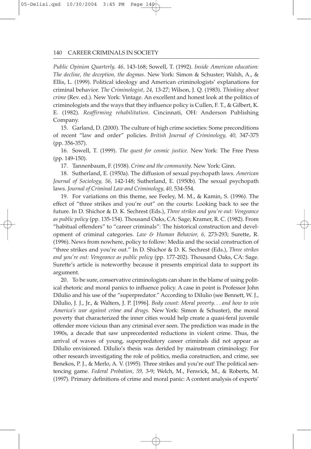*Public Opinion Quarterly, 46,* 143-168; Sowell, T. (1992). *Inside American education: The decline, the deception, the dogmas*. New York: Simon & Schuster; Walsh, A., & Ellis, L. (1999). Political ideology and American criminologists' explanations for criminal behavior. *The Criminologist, 24,* 13-27; Wilson, J. Q. (1983). *Thinking about crime* (Rev. ed.). New York: Vintage. An excellent and honest look at the politics of criminologists and the ways that they influence policy is Cullen, F. T., & Gilbert, K. E. (1982). *Reaffirming rehabilitation*. Cincinnati, OH: Anderson Publishing Company.

15. Garland, D. (2000). The culture of high crime societies: Some preconditions of recent "law and order" policies. *British Journal of Criminology, 40,* 347-375 (pp. 356-357).

16. Sowell, T. (1999). *The quest for cosmic justice*. New York: The Free Press (pp. 149-150).

17. Tannenbaum, F. (1938). *Crime and the community*. New York: Ginn.

18. Sutherland, E. (1950a). The diffusion of sexual psychopath laws. *American Journal of Sociology, 56,* 142-148; Sutherland, E. (1950b). The sexual psychopath laws. *Journal of Criminal Law and Criminology, 40,* 534-554.

19. For variations on this theme, see Feeley, M. M., & Kamin, S. (1996). The effect of "three strikes and you're out" on the courts: Looking back to see the future. In D. Shichor & D. K. Sechrest (Eds.), *Three strikes and you're out: Vengeance as public policy* (pp. 135-154). Thousand Oaks, CA: Sage; Kramer, R. C. (1982). From "habitual offenders" to "career criminals": The historical construction and development of criminal categories. *Law & Human Behavior, 6,* 273-293; Surette, R. (1996). News from nowhere, policy to follow: Media and the social construction of "three strikes and you're out." In D. Shichor & D. K. Sechrest (Eds.), *Three strikes and you're out: Vengeance as public policy* (pp. 177-202). Thousand Oaks, CA: Sage. Surette's article is noteworthy because it presents empirical data to support its argument.

20. To be sure, conservative criminologists can share in the blame of using political rhetoric and moral panics to influence policy. A case in point is Professor John DiIulio and his use of the "superpredator." According to DiIulio (see Bennett, W. J., DiIulio, J. J., Jr., & Walters, J. P. [1996]. *Body count: Moral poverty. . . and how to win America's war against crime and drugs.* New York: Simon & Schuster), the moral poverty that characterized the inner cities would help create a quasi-feral juvenile offender more vicious than any criminal ever seen. The prediction was made in the 1990s, a decade that saw unprecedented reductions in violent crime. Thus, the arrival of waves of young, superpredatory career criminals did not appear as DiIulio envisioned. DiIulio's thesis was derided by mainstream criminology. For other research investigating the role of politics, media construction, and crime, see Benekos, P. J., & Merlo, A. V. (1995). Three strikes and you're out! The political sentencing game. *Federal Probation, 59,* 3-9; Welch, M., Fenwick, M., & Roberts, M. (1997). Primary definitions of crime and moral panic: A content analysis of experts'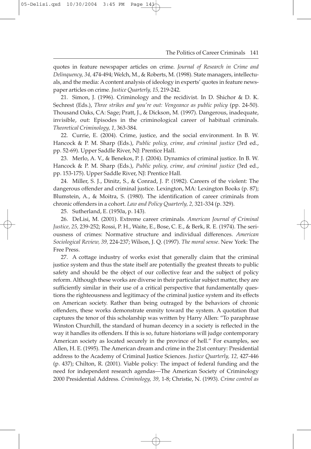quotes in feature newspaper articles on crime. *Journal of Research in Crime and Delinquency, 34,* 474-494; Welch, M., & Roberts, M. (1998). State managers, intellectuals, and the media: A content analysis of ideology in experts' quotes in feature newspaper articles on crime. *Justice Quarterly, 15,* 219-242.

21. Simon, J. (1996). Criminology and the recidivist. In D. Shichor & D. K. Sechrest (Eds.), *Three strikes and you're out: Vengeance as public policy* (pp. 24-50). Thousand Oaks, CA: Sage; Pratt, J., & Dickson, M. (1997). Dangerous, inadequate, invisible, out: Episodes in the criminological career of habitual criminals. *Theoretical Criminology, 1,* 363-384.

22. Currie, E. (2004). Crime, justice, and the social environment. In B. W. Hancock & P. M. Sharp (Eds.), *Public policy, crime, and criminal justice* (3rd ed., pp. 52-69). Upper Saddle River, NJ: Prentice Hall.

23. Merlo, A. V., & Benekos, P. J. (2004). Dynamics of criminal justice. In B. W. Hancock & P. M. Sharp (Eds.), *Public policy, crime, and criminal justice* (3rd ed., pp. 153-175). Upper Saddle River, NJ: Prentice Hall.

24. Miller, S. J., Dinitz, S., & Conrad, J. P. (1982). Careers of the violent: The dangerous offender and criminal justice. Lexington, MA: Lexington Books (p. 87); Blumstein, A., & Moitra, S. (1980). The identification of career criminals from chronic offenders in a cohort. *Law and Policy Quarterly, 2,* 321-334 (p. 329).

25. Sutherland, E. (1950a, p. 143).

26. DeLisi, M. (2001). Extreme career criminals. *American Journal of Criminal Justice, 25,* 239-252; Rossi, P. H., Waite, E., Bose, C. E., & Berk, R. E. (1974). The seriousness of crimes: Normative structure and individual differences. *American Sociological Review, 39,* 224-237; Wilson, J. Q. (1997). *The moral sense*. New York: The Free Press.

27. A cottage industry of works exist that generally claim that the criminal justice system and thus the state itself are potentially the greatest threats to public safety and should be the object of our collective fear and the subject of policy reform. Although these works are diverse in their particular subject matter, they are sufficiently similar in their use of a critical perspective that fundamentally questions the righteousness and legitimacy of the criminal justice system and its effects on American society. Rather than being outraged by the behaviors of chronic offenders, these works demonstrate enmity toward the system. A quotation that captures the tenor of this scholarship was written by Harry Allen: "To paraphrase Winston Churchill, the standard of human decency in a society is reflected in the way it handles its offenders. If this is so, future historians will judge contemporary American society as located securely in the province of hell." For examples, see Allen, H. E. (1995). The American dream and crime in the 21st century: Presidential address to the Academy of Criminal Justice Sciences. *Justice Quarterly, 12,* 427-446 (p. 437); Chilton, R. (2001). Viable policy: The impact of federal funding and the need for independent research agendas—The American Society of Criminology 2000 Presidential Address. *Criminology, 39,* 1-8; Christie, N. (1993). *Crime control as*